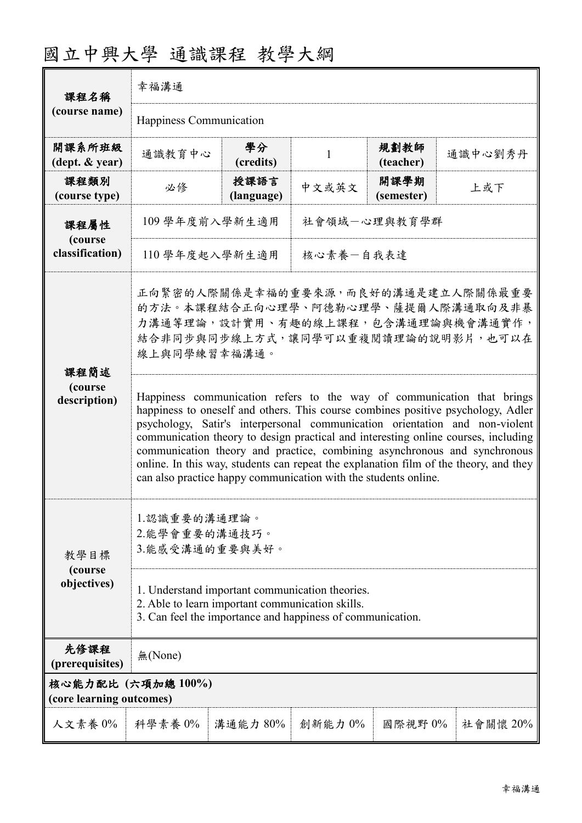|                                               | 幸福溝通                                                                                                                                                                                                                                                                                                                                                                                                              |                    |         |                    |          |  |
|-----------------------------------------------|-------------------------------------------------------------------------------------------------------------------------------------------------------------------------------------------------------------------------------------------------------------------------------------------------------------------------------------------------------------------------------------------------------------------|--------------------|---------|--------------------|----------|--|
| 課程名稱<br>(course name)                         | Happiness Communication                                                                                                                                                                                                                                                                                                                                                                                           |                    |         |                    |          |  |
| 開課系所班級<br>$(\text{dept.} \& \text{ year})$    | 通識教育中心                                                                                                                                                                                                                                                                                                                                                                                                            | 學分<br>(credits)    | 1       | 規劃教師<br>(teacher)  | 通識中心劉秀丹  |  |
| 課程類別<br>(course type)                         | 必修                                                                                                                                                                                                                                                                                                                                                                                                                | 授課語言<br>(language) | 中文或英文   | 開課學期<br>(semester) | 上或下      |  |
| 課程屬性<br>(course<br>classification)            | 社會領域一心理與教育學群<br>109 學年度前入學新生適用                                                                                                                                                                                                                                                                                                                                                                                    |                    |         |                    |          |  |
|                                               | 核心素養一自我表達<br>110 學年度起入學新生適用                                                                                                                                                                                                                                                                                                                                                                                       |                    |         |                    |          |  |
| 課程簡述<br>(course<br>description)               | 正向緊密的人際關係是幸福的重要來源,而良好的溝通是建立人際關係最重要<br>的方法。本課程結合正向心理學、阿德勒心理學、薩提爾人際溝通取向及非暴<br>力溝通等理論,設計實用、有趣的線上課程,包含溝通理論與機會溝通實作,<br>結合非同步與同步線上方式,讓同學可以重複閱讀理論的說明影片,也可以在<br>線上與同學練習幸福溝通。<br>Happiness communication refers to the way of communication that brings<br>happiness to oneself and others. This course combines positive psychology, Adler<br>psychology, Satir's interpersonal communication orientation and non-violent |                    |         |                    |          |  |
|                                               | communication theory to design practical and interesting online courses, including<br>communication theory and practice, combining asynchronous and synchronous<br>online. In this way, students can repeat the explanation film of the theory, and they<br>can also practice happy communication with the students online.                                                                                       |                    |         |                    |          |  |
| 教學目標                                          | 1.認識重要的溝通理論。<br>2.能學會重要的溝通技巧。<br>3.能感受溝通的重要與美好。                                                                                                                                                                                                                                                                                                                                                                   |                    |         |                    |          |  |
| (course<br>objectives)                        | 1. Understand important communication theories.<br>2. Able to learn important communication skills.<br>3. Can feel the importance and happiness of communication.                                                                                                                                                                                                                                                 |                    |         |                    |          |  |
| 先修課程<br>(prerequisites)                       | 無(None)                                                                                                                                                                                                                                                                                                                                                                                                           |                    |         |                    |          |  |
| 核心能力配比 (六項加總100%)<br>(core learning outcomes) |                                                                                                                                                                                                                                                                                                                                                                                                                   |                    |         |                    |          |  |
| 人文素養 0%                                       | 科學素養 0%                                                                                                                                                                                                                                                                                                                                                                                                           | 溝通能力 80%           | 創新能力 0% | 國際視野 0%            | 社會關懷 20% |  |

# 國立中興大學 通識課程 教學大綱